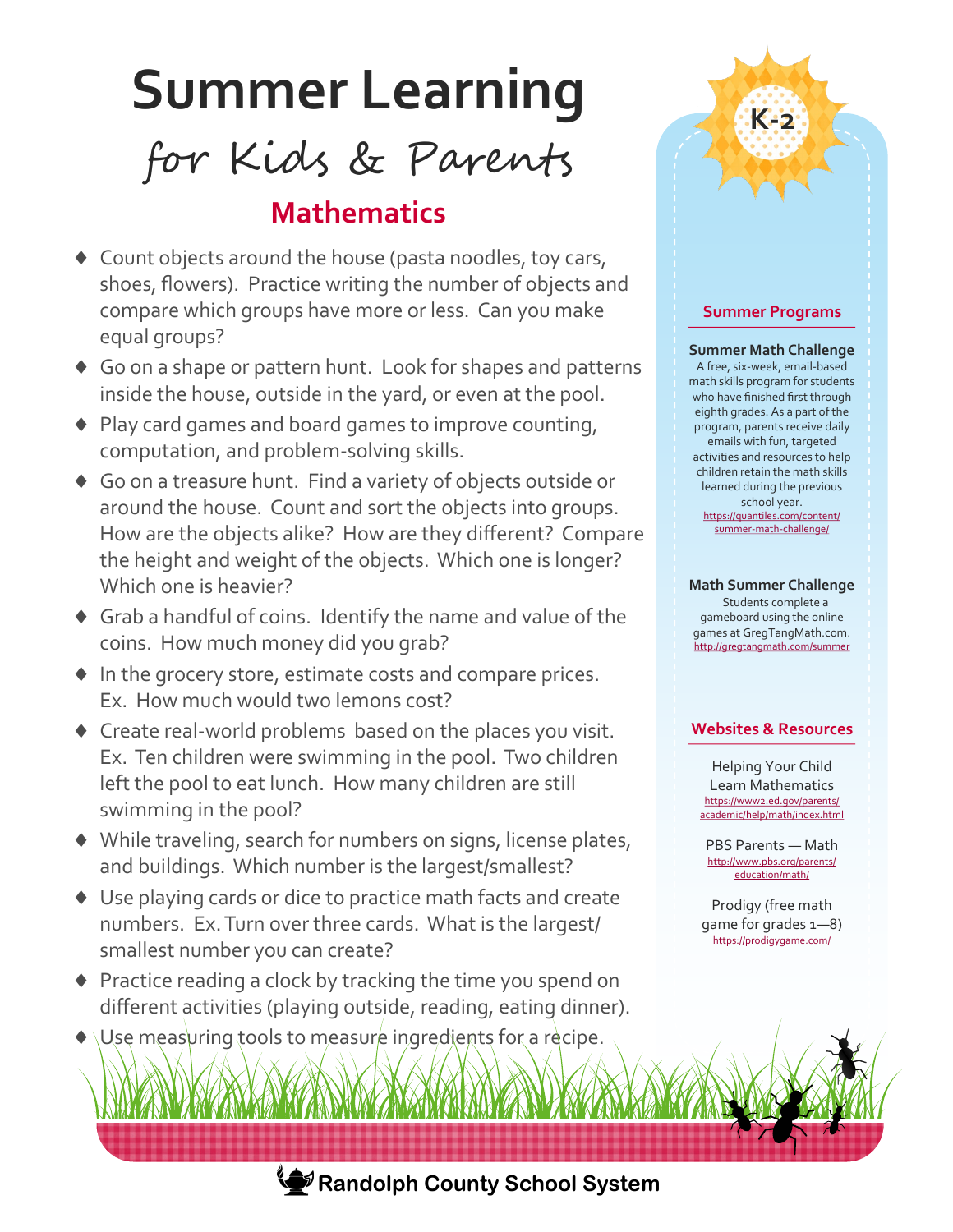# **Summer Learning**

## for Kids & Parents

## **Mathematics**

- ◆ Count objects around the house (pasta noodles, toy cars, shoes, flowers). Practice writing the number of objects and compare which groups have more or less. Can you make equal groups?
- Go on a shape or pattern hunt. Look for shapes and patterns inside the house, outside in the yard, or even at the pool.
- ◆ Play card games and board games to improve counting, computation, and problem-solving skills.
- Go on a treasure hunt. Find a variety of objects outside or around the house. Count and sort the objects into groups. How are the objects alike? How are they different? Compare the height and weight of the objects. Which one is longer? Which one is heavier?
- Grab a handful of coins. Identify the name and value of the coins. How much money did you grab?
- $\blacklozenge$  In the grocery store, estimate costs and compare prices. Ex. How much would two lemons cost?
- Create real-world problems based on the places you visit. Ex. Ten children were swimming in the pool. Two children left the pool to eat lunch. How many children are still swimming in the pool?
- While traveling, search for numbers on signs, license plates, and buildings. Which number is the largest/smallest?
- Use playing cards or dice to practice math facts and create numbers. Ex. Turn over three cards. What is the largest/ smallest number you can create?
- ◆ Practice reading a clock by tracking the time you spend on different activities (playing outside, reading, eating dinner).
- Use measuring tools to measure ingredients for a recipe.



#### **Summer Math Challenge**

**K-2**

A free, six-week, email-based math skills program for students who have finished first through eighth grades. As a part of the program, parents receive daily emails with fun, targeted activities and resources to help children retain the math skills learned during the previous school year. [https://quantiles.com/content/](https://quantiles.com/content/summer-math-challenge/) summer-math-[challenge/](https://quantiles.com/content/summer-math-challenge/)

#### **Math Summer Challenge**

 Students complete a gameboard using the online games at GregTangMath.com. <http://gregtangmath.com/summer>

#### **Websites & Resources**

Helping Your Child Learn Mathematics [https://www2.ed.gov/parents/](https://www2.ed.gov/parents/academic/help/math/index.html) [academic/help/math/index.html](https://www2.ed.gov/parents/academic/help/math/index.html)

PBS Parents — Math http://www.pbs.org/parents/ education/math/

Prodigy (free math game for grades 1—8) <https://prodigygame.com/>



**Randolph County School System**